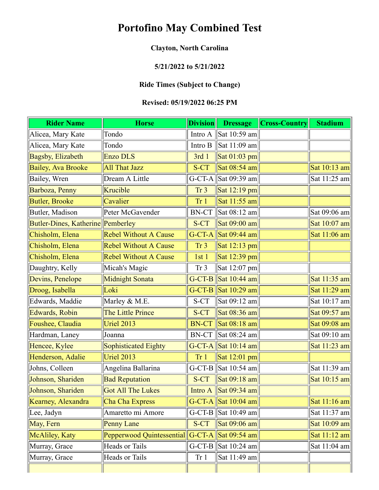# **Portofino May Combined Test**

# **Clayton, North Carolina**

#### **5/21/2022 to 5/21/2022**

## **Ride Times (Subject to Change)**

### **Revised: 05/19/2022 06:25 PM**

| <b>Rider Name</b>                 | <b>Horse</b>                 | <b>Division</b> | <b>Dressage</b>                                       | <b>Cross-Country</b> | <b>Stadium</b>               |
|-----------------------------------|------------------------------|-----------------|-------------------------------------------------------|----------------------|------------------------------|
| Alicea, Mary Kate                 | Tondo                        | Intro A         | Sat 10:59 am                                          |                      |                              |
| Alicea, Mary Kate                 | Tondo                        | Intro B         | Sat 11:09 am                                          |                      |                              |
| Bagsby, Elizabeth                 | <b>Enzo DLS</b>              | 3rd 1           | Sat $01:03$ pm                                        |                      |                              |
| <b>Bailey, Ava Brooke</b>         | All That Jazz                | S-CT            | $\vert$ Sat 08:54 am $\vert$                          |                      | Sat 10:13 am                 |
| Bailey, Wren                      | Dream A Little               |                 | G-CT-A $\left\  \text{Sat }09:39 \text{ am} \right\ $ |                      | Sat 11:25 am                 |
| Barboza, Penny                    | Krucible                     | Tr <sub>3</sub> | Sat $12:19$ pm                                        |                      |                              |
| <b>Butler, Brooke</b>             | Cavalier                     | Tr <sub>1</sub> | Sat 11:55 am                                          |                      |                              |
| Butler, Madison                   | Peter McGavender             | <b>BN-CT</b>    | Sat 08:12 am                                          |                      | Sat 09:06 am                 |
| Butler-Dines, Katherine Pemberley |                              | S-CT            | Sat 09:00 am                                          |                      | Sat $10:07$ am               |
| Chisholm, Elena                   | <b>Rebel Without A Cause</b> |                 | G-CT-A Sat 09:44 am                                   |                      | Sat 11:06 am                 |
| Chisholm, Elena                   | <b>Rebel Without A Cause</b> | Tr <sub>3</sub> | Sat $12:13$ pm                                        |                      |                              |
| Chisholm, Elena                   | <b>Rebel Without A Cause</b> | 1st1            | Sat $12:39$ pm                                        |                      |                              |
| Daughtry, Kelly                   | Micah's Magic                | Tr <sub>3</sub> | $\vert$ Sat 12:07 pm $\vert$                          |                      |                              |
| Devins, Penelope                  | Midnight Sonata              |                 | G-CT-B Sat $10:44$ am                                 |                      | Sat 11:35 am                 |
| Droog, Isabella                   | Loki                         |                 | G-CT-B Sat $10:29$ am                                 |                      | Sat 11:29 am                 |
| Edwards, Maddie                   | Marley & M.E.                | S-CT            | Sat 09:12 am                                          |                      | Sat 10:17 am                 |
| Edwards, Robin                    | The Little Prince            | S-CT            | Sat 08:36 am                                          |                      | Sat 09:57 am                 |
| Foushee, Claudia                  | Uriel 2013                   | <b>BN-CT</b>    | Sat 08:18 am                                          |                      | Sat 09:08 am                 |
| Hardman, Laney                    | Joanna                       | $BN-CT$         | Sat 08:24 am                                          |                      | Sat 09:10 am                 |
| Hencee, Kylee                     | Sophisticated Eighty         |                 | G-CT-A $\vert$ Sat 10:14 am                           |                      | Sat 11:23 am                 |
| Henderson, Adalie                 | <b>Uriel 2013</b>            | Tr <sub>1</sub> | Sat $12:01$ pm                                        |                      |                              |
| Johns, Colleen                    | Angelina Ballarina           |                 | G-CT-B Sat $10:54$ am                                 |                      | Sat 11:39 am                 |
| Johnson, Shariden                 | <b>Bad Reputation</b>        | S-CT            | $\vert$ Sat 09:18 am $\vert$                          |                      | Sat 10:15 am                 |
| Johnson, Shariden                 | Got All The Lukes            |                 | Intro A $\left \text{Sat } 09:34 \text{ am}\right $   |                      |                              |
| Kearney, Alexandra                | Cha Cha Express              |                 | G-CT-A $\vert$ Sat 10:04 am                           |                      | $\vert$ Sat 11:16 am $\vert$ |
| Lee, Jadyn                        | Amaretto mi Amore            |                 | G-CT-B Sat $10:49$ am                                 |                      | Sat $11:37$ am               |
| May, Fern                         | Penny Lane                   | S-CT            | Sat $09:06$ am                                        |                      | $\vert$ Sat 10:09 am $\vert$ |
| McAliley, Katy                    | Pepperwood Quintessential    |                 | G-CT-A Sat 09:54 am                                   |                      | Sat $11:12$ am               |
| Murray, Grace                     | Heads or Tails               |                 | G-CT-B $\left \text{Sat 10:24 am}\right $             |                      | Sat 11:04 am                 |
| Murray, Grace                     | Heads or Tails               | Tr <sub>1</sub> | Sat 11:49 am                                          |                      |                              |
|                                   |                              |                 |                                                       |                      |                              |